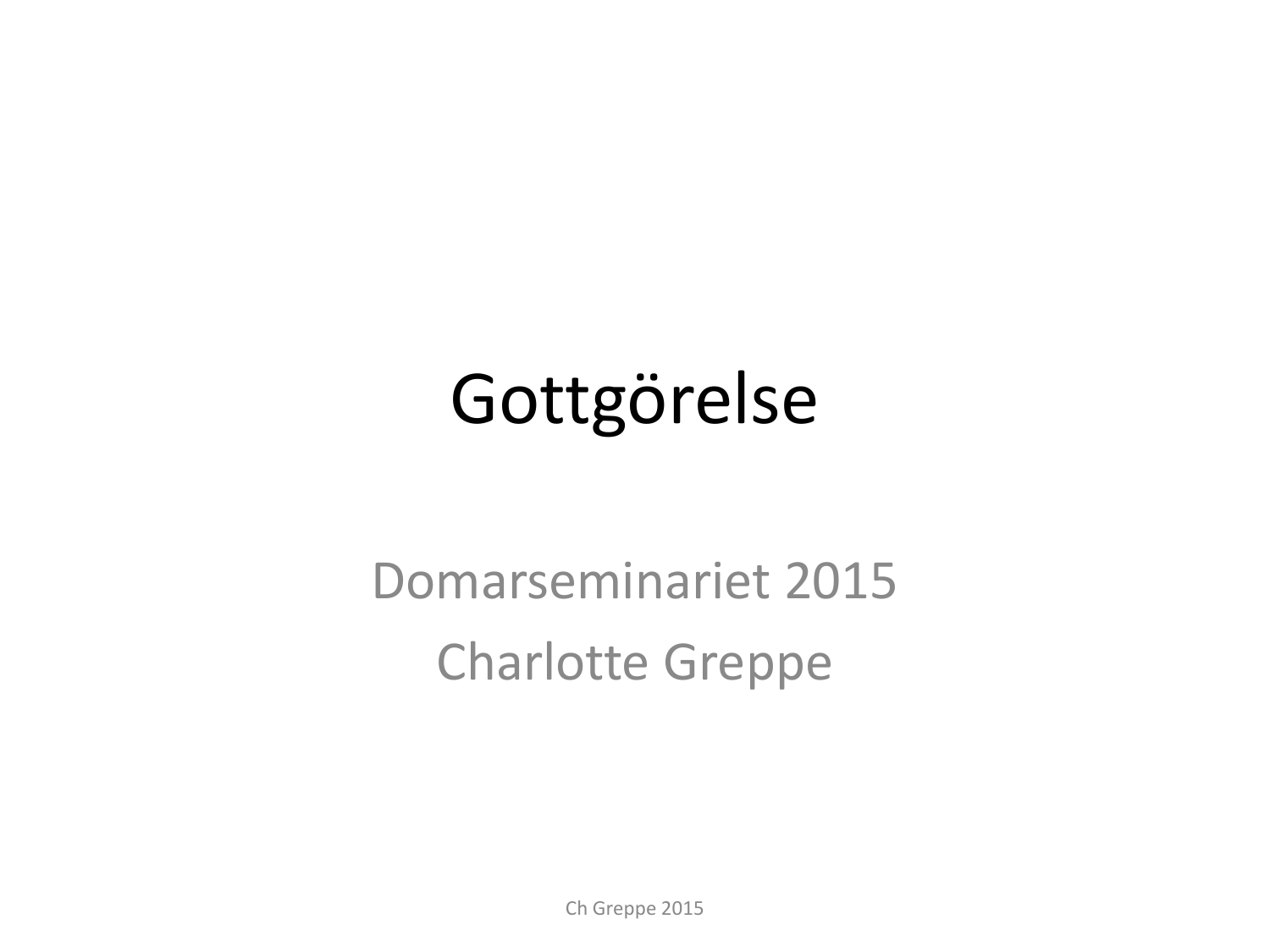## Gottgörelse

### Domarseminariet 2015 Charlotte Greppe

Ch Greppe 2015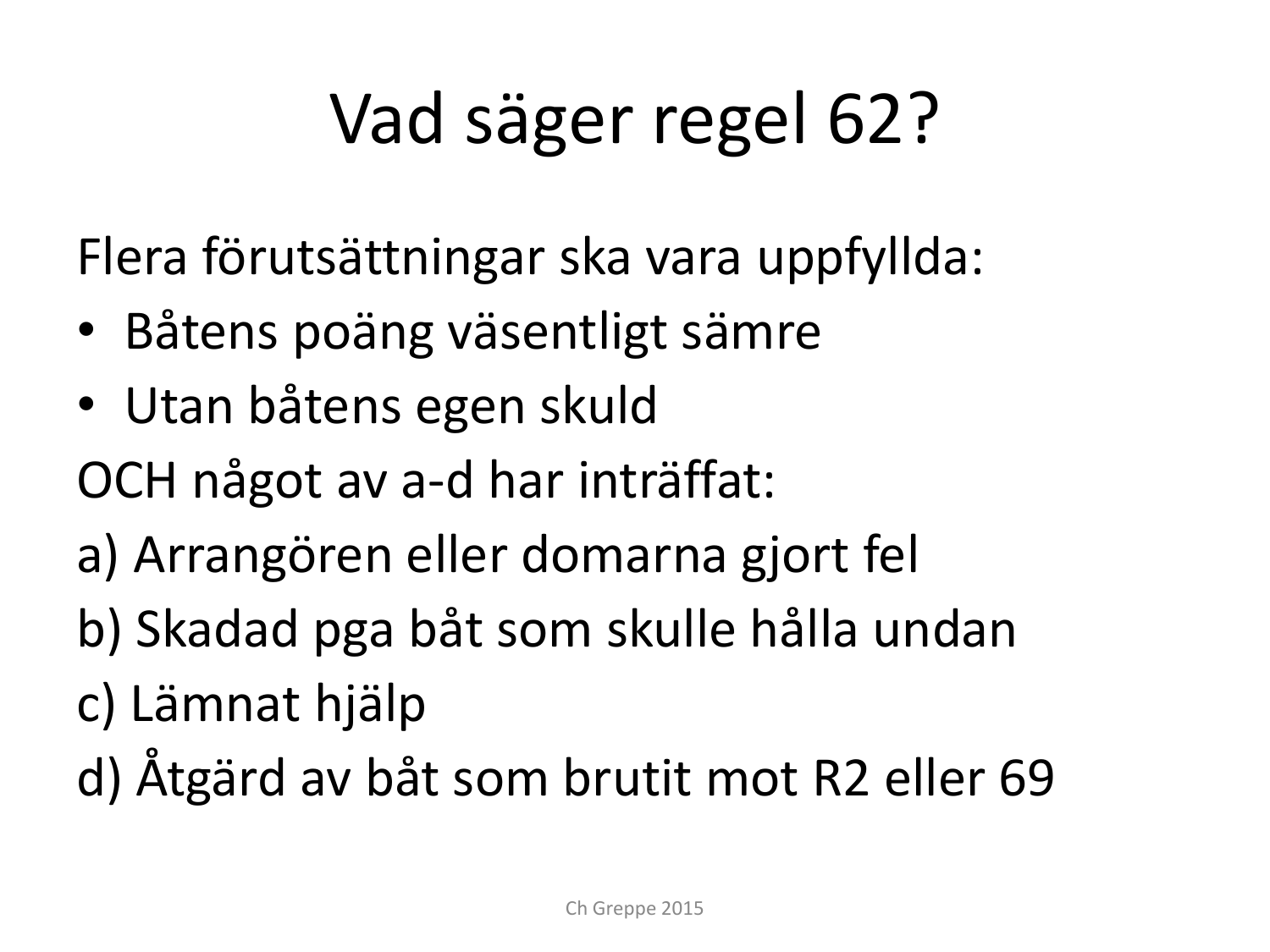# Vad säger regel 62?

Flera förutsättningar ska vara uppfyllda:

- Båtens poäng väsentligt sämre
- Utan båtens egen skuld
- OCH något av a-d har inträffat:
- a) Arrangören eller domarna gjort fel
- b) Skadad pga båt som skulle hålla undan
- c) Lämnat hjälp
- d) Åtgärd av båt som brutit mot R2 eller 69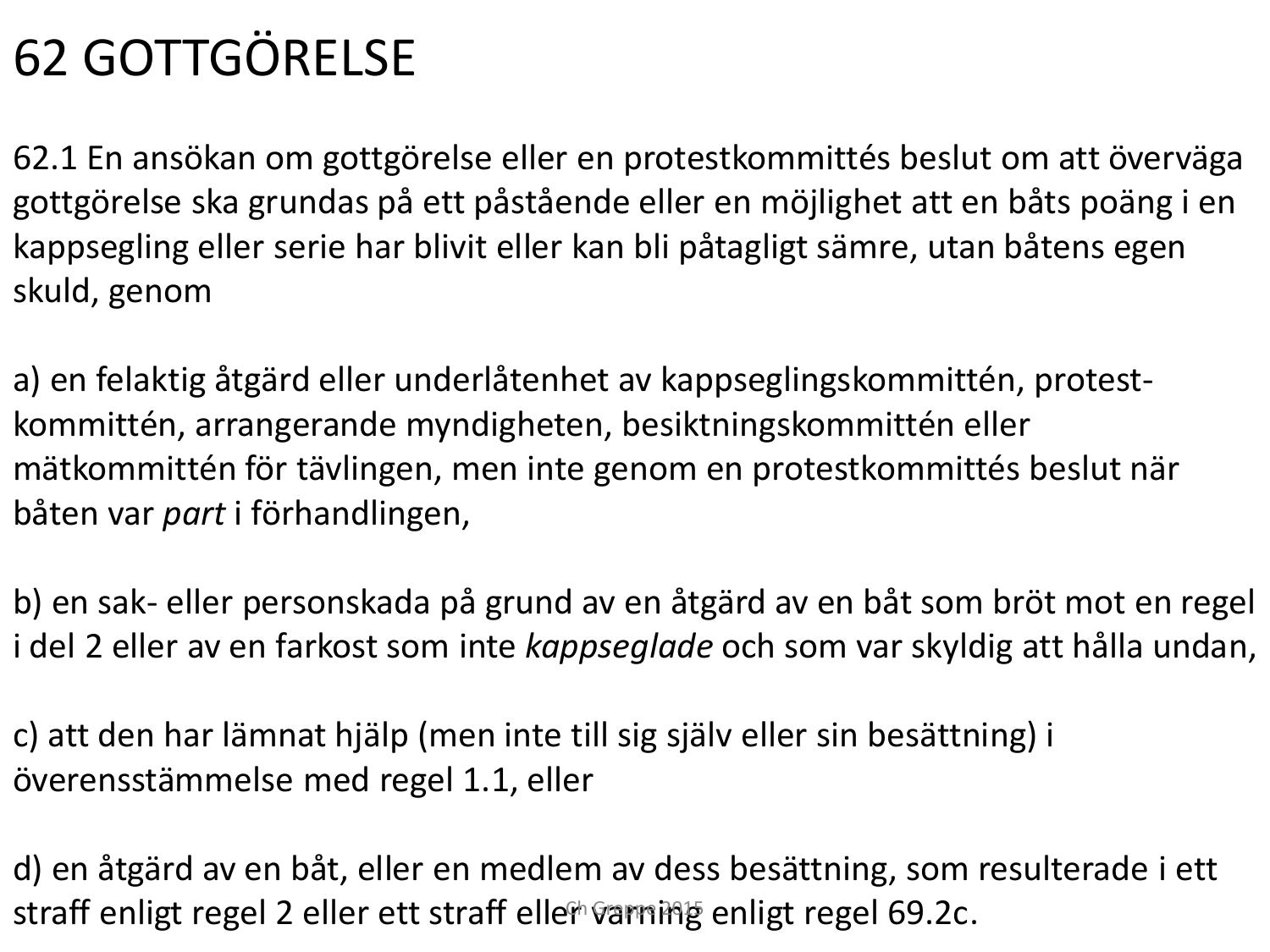### 62 GOTTGÖRELSE

62.1 En ansökan om gottgörelse eller en protestkommittés beslut om att överväga gottgörelse ska grundas på ett påstående eller en möjlighet att en båts poäng i en kappsegling eller serie har blivit eller kan bli påtagligt sämre, utan båtens egen skuld, genom

a) en felaktig åtgärd eller underlåtenhet av kappseglingskommittén, protestkommittén, arrangerande myndigheten, besiktningskommittén eller mätkommittén för tävlingen, men inte genom en protestkommittés beslut när båten var *part* i förhandlingen,

b) en sak- eller personskada på grund av en åtgärd av en båt som bröt mot en regel i del 2 eller av en farkost som inte *kappseglade* och som var skyldig att hålla undan,

c) att den har lämnat hjälp (men inte till sig själv eller sin besättning) i överensstämmelse med regel 1.1, eller

d) en åtgärd av en båt, eller en medlem av dess besättning, som resulterade i ett straff enligt regel 2 eller ett straff eller varning enligt regel 69.2c.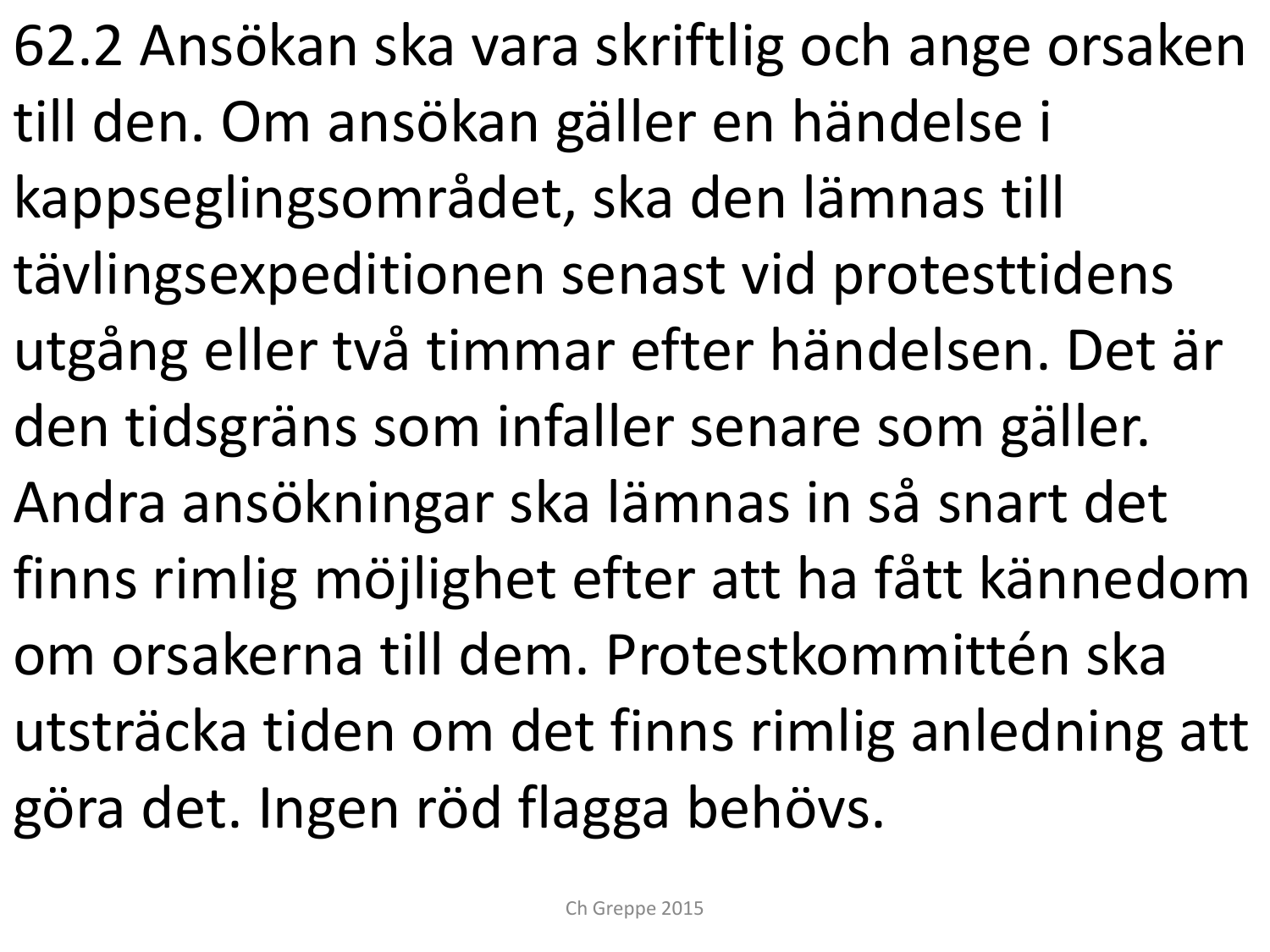62.2 Ansökan ska vara skriftlig och ange orsaken till den. Om ansökan gäller en händelse i kappseglingsområdet, ska den lämnas till tävlingsexpeditionen senast vid protesttidens utgång eller två timmar efter händelsen. Det är den tidsgräns som infaller senare som gäller. Andra ansökningar ska lämnas in så snart det finns rimlig möjlighet efter att ha fått kännedom om orsakerna till dem. Protestkommittén ska utsträcka tiden om det finns rimlig anledning att göra det. Ingen röd flagga behövs.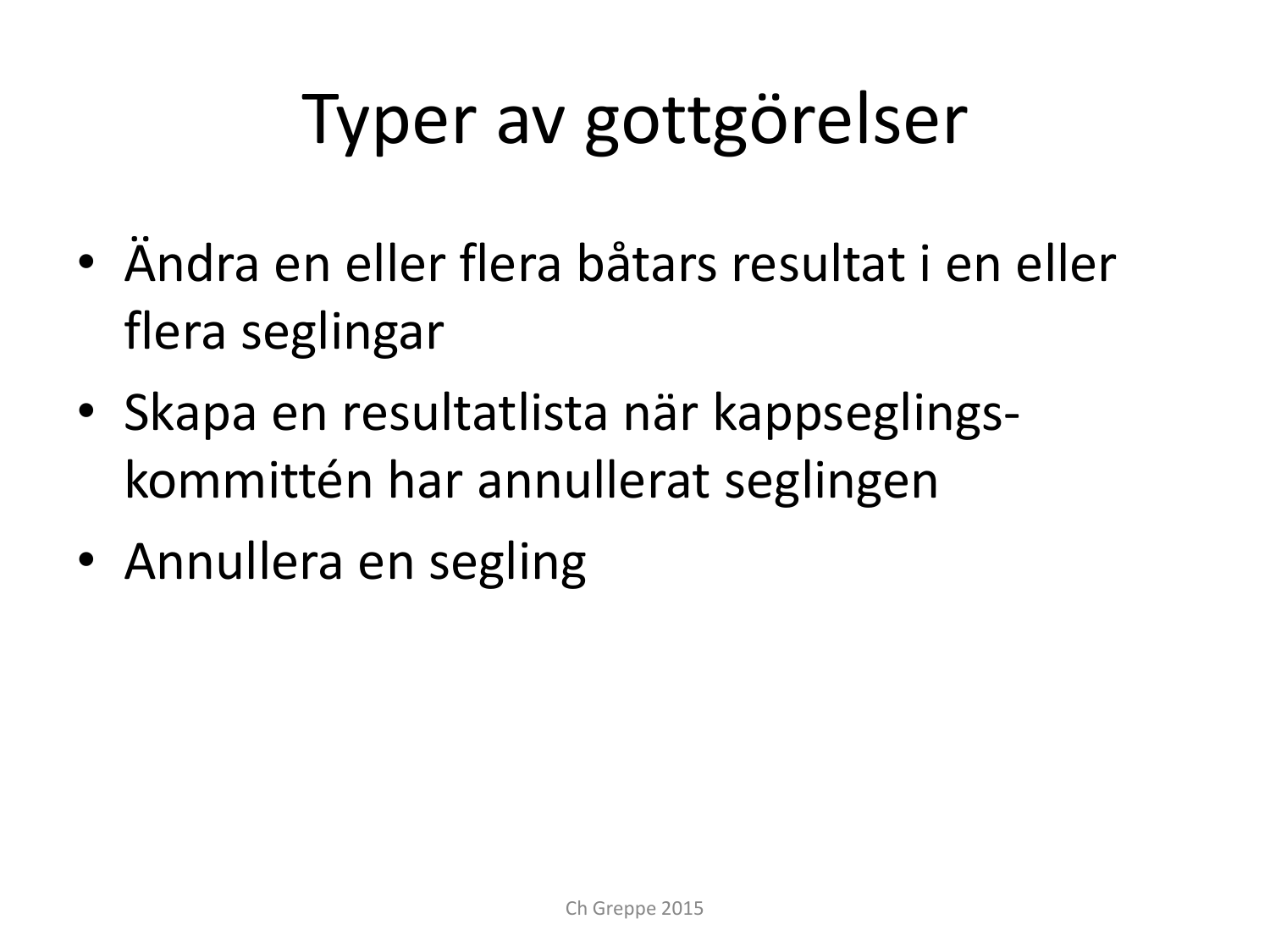## Typer av gottgörelser

- Ändra en eller flera båtars resultat i en eller flera seglingar
- Skapa en resultatlista när kappseglingskommittén har annullerat seglingen
- Annullera en segling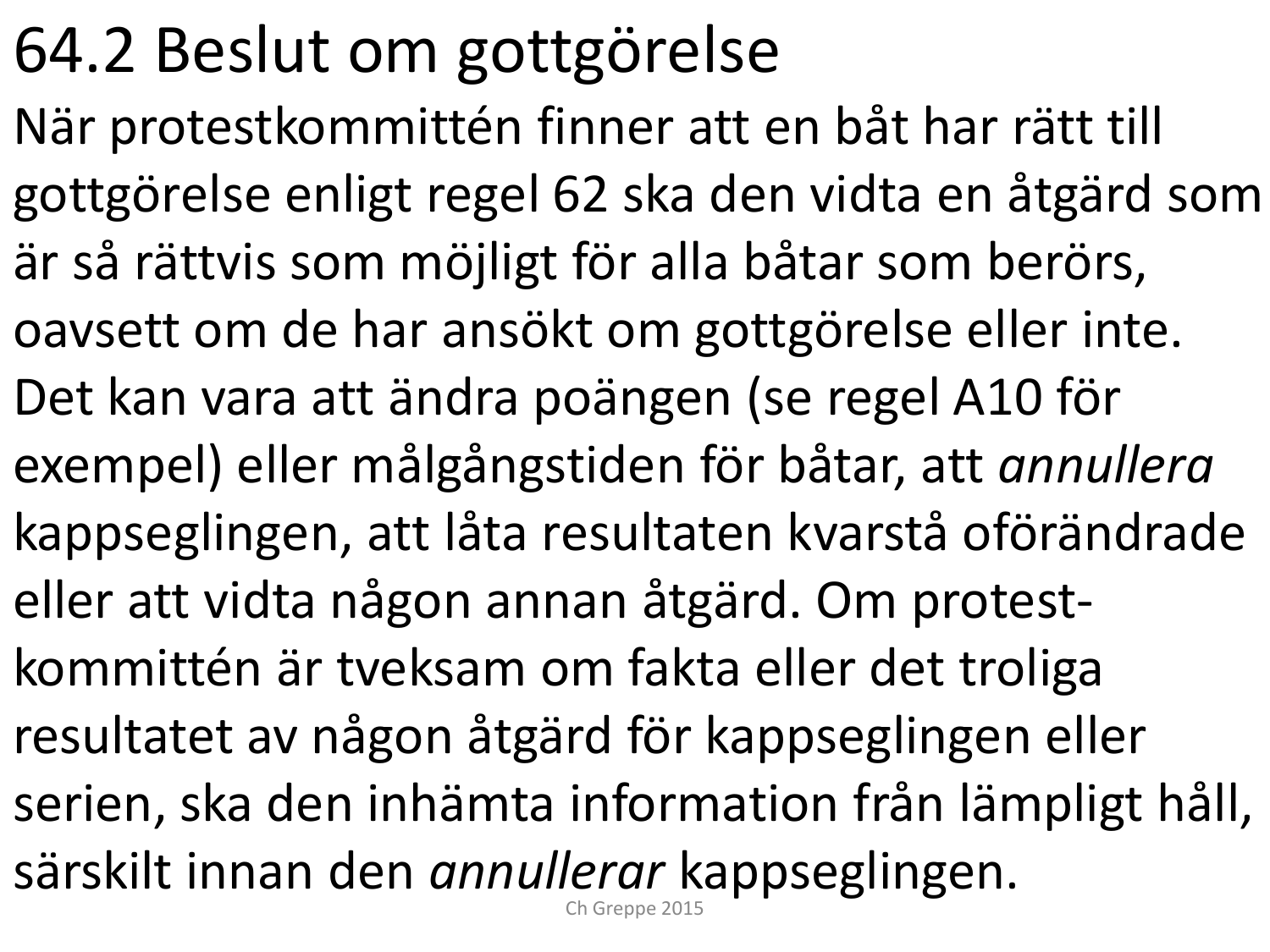## 64.2 Beslut om gottgörelse

När protestkommittén finner att en båt har rätt till gottgörelse enligt regel 62 ska den vidta en åtgärd som är så rättvis som möjligt för alla båtar som berörs, oavsett om de har ansökt om gottgörelse eller inte. Det kan vara att ändra poängen (se regel A10 för exempel) eller målgångstiden för båtar, att *annullera*  kappseglingen, att låta resultaten kvarstå oförändrade eller att vidta någon annan åtgärd. Om protestkommittén är tveksam om fakta eller det troliga resultatet av någon åtgärd för kappseglingen eller serien, ska den inhämta information från lämpligt håll, särskilt innan den *annullerar* kappseglingen. Ch Greppe 2015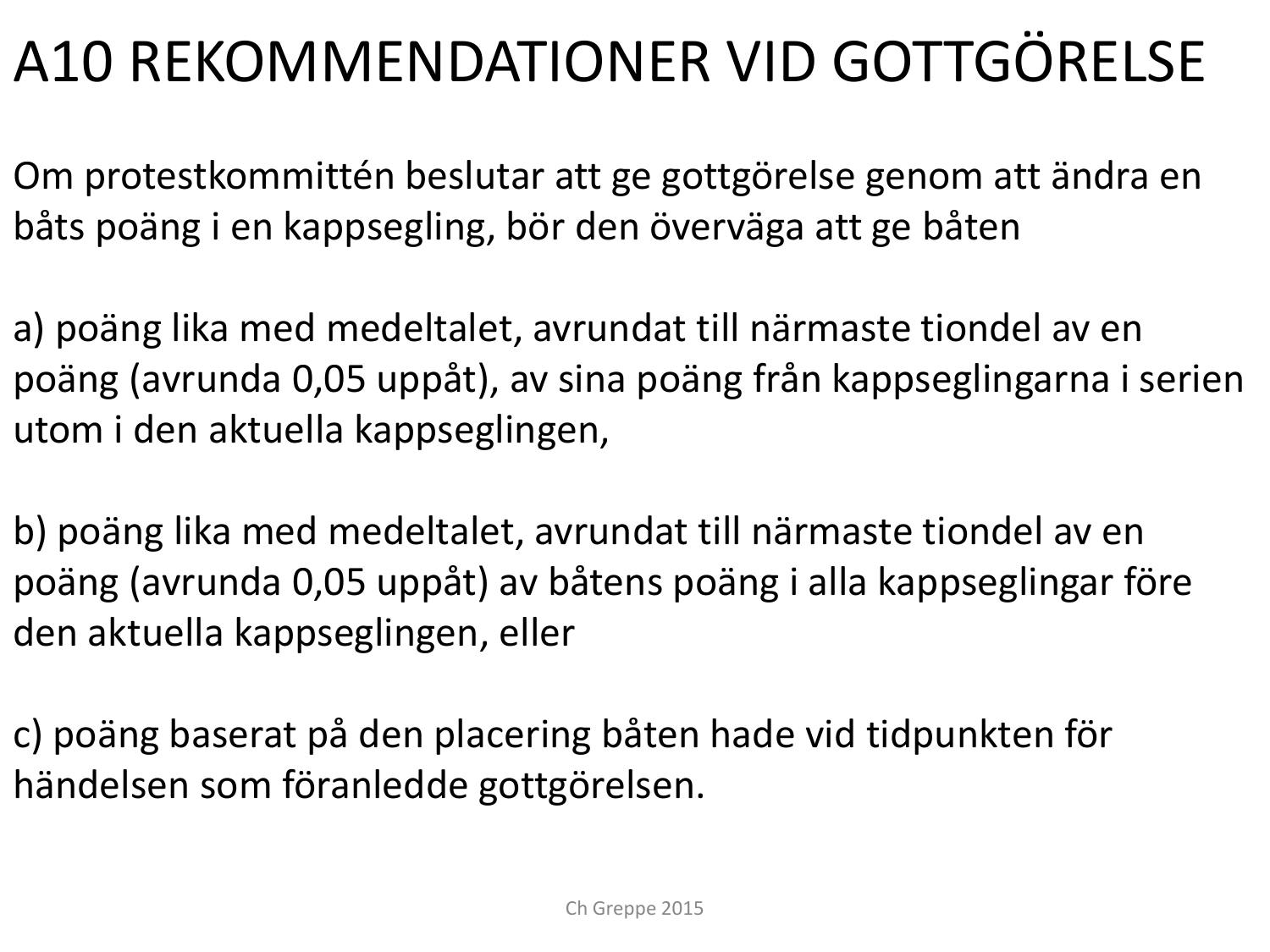### A10 REKOMMENDATIONER VID GOTTGÖRELSE

Om protestkommittén beslutar att ge gottgörelse genom att ändra en båts poäng i en kappsegling, bör den överväga att ge båten

a) poäng lika med medeltalet, avrundat till närmaste tiondel av en poäng (avrunda 0,05 uppåt), av sina poäng från kappseglingarna i serien utom i den aktuella kappseglingen,

b) poäng lika med medeltalet, avrundat till närmaste tiondel av en poäng (avrunda 0,05 uppåt) av båtens poäng i alla kappseglingar före den aktuella kappseglingen, eller

c) poäng baserat på den placering båten hade vid tidpunkten för händelsen som föranledde gottgörelsen.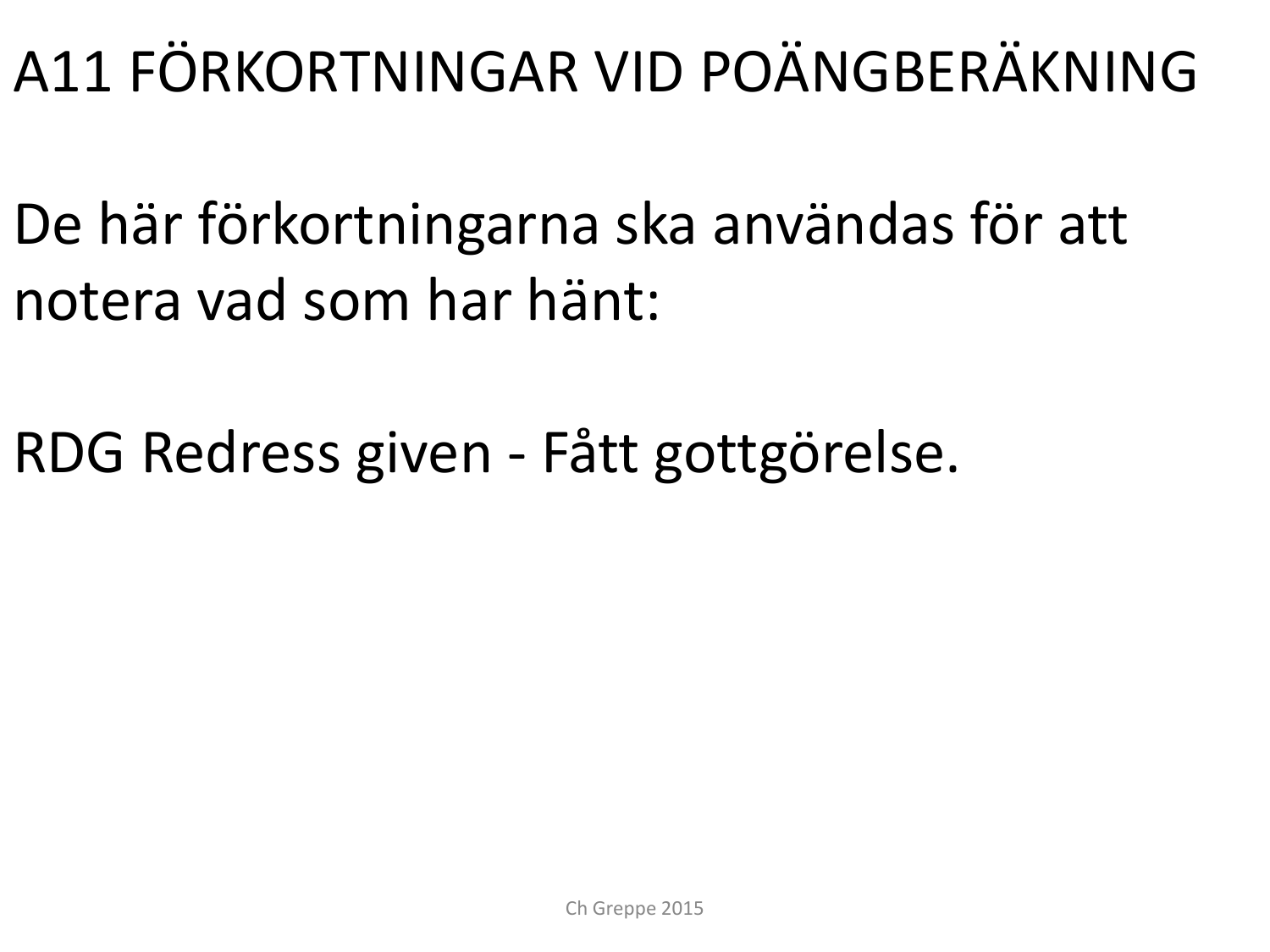### A11 FÖRKORTNINGAR VID POÄNGBERÄKNING

- De här förkortningarna ska användas för att notera vad som har hänt:
- RDG Redress given Fått gottgörelse.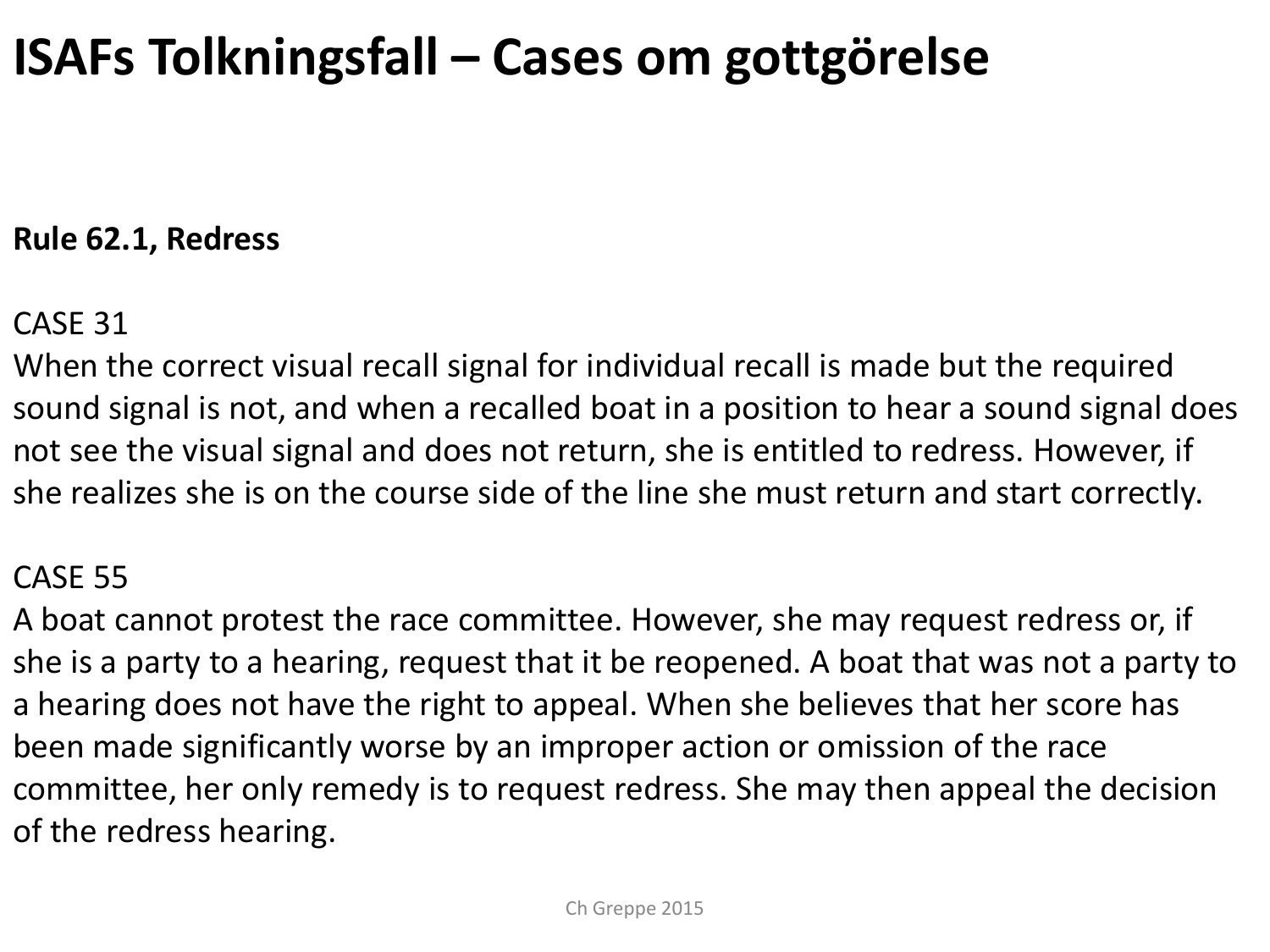### **ISAFs Tolkningsfall – Cases om gottgörelse**

#### **Rule 62.1, Redress**

#### CASE 31

When the correct visual recall signal for individual recall is made but the required sound signal is not, and when a recalled boat in a position to hear a sound signal does not see the visual signal and does not return, she is entitled to redress. However, if she realizes she is on the course side of the line she must return and start correctly.

#### CASE 55

A boat cannot protest the race committee. However, she may request redress or, if she is a party to a hearing, request that it be reopened. A boat that was not a party to a hearing does not have the right to appeal. When she believes that her score has been made significantly worse by an improper action or omission of the race committee, her only remedy is to request redress. She may then appeal the decision of the redress hearing.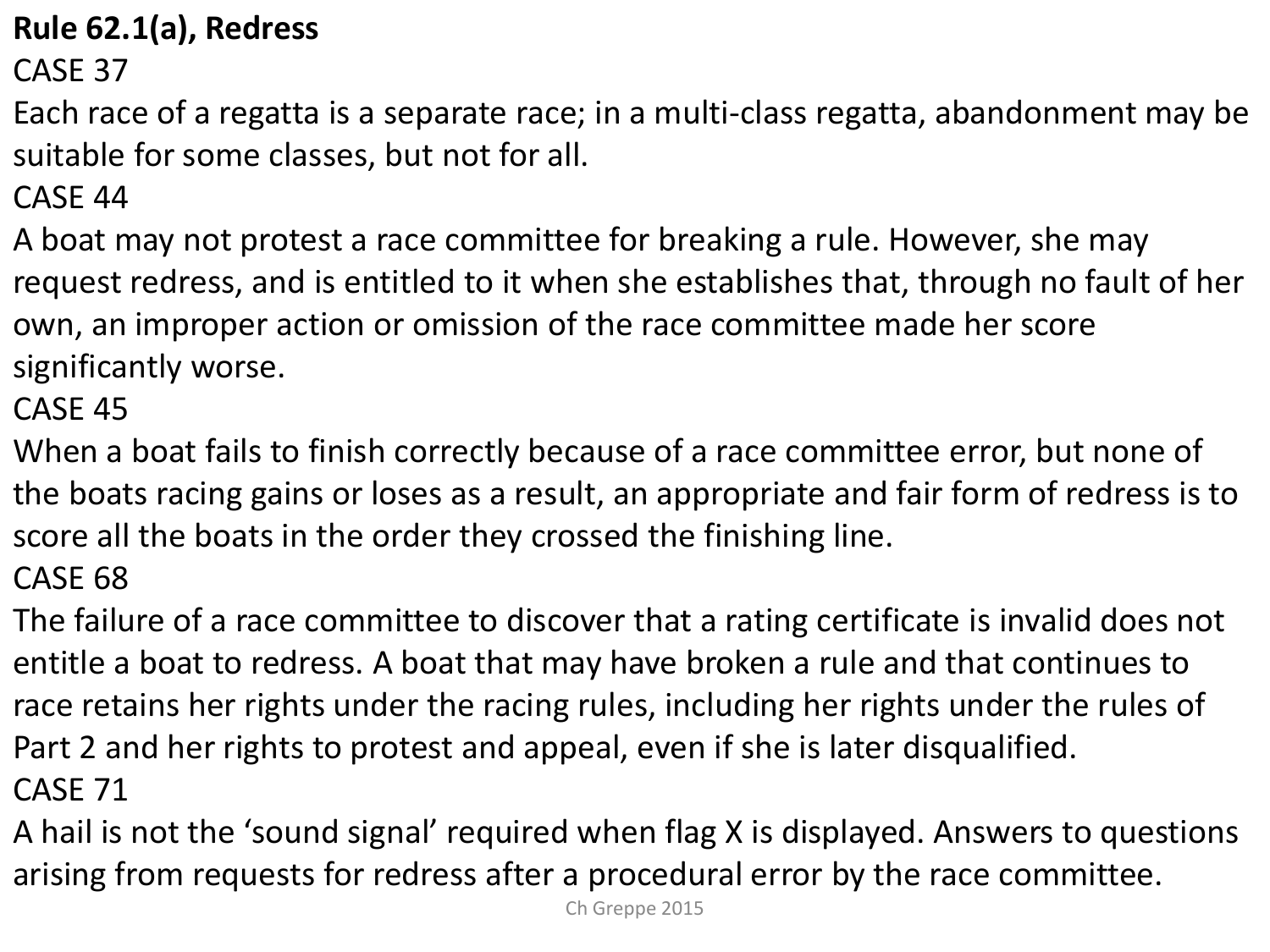#### **Rule 62.1(a), Redress**

CASE 37

Each race of a regatta is a separate race; in a multi-class regatta, abandonment may be suitable for some classes, but not for all.

CASE 44

A boat may not protest a race committee for breaking a rule. However, she may request redress, and is entitled to it when she establishes that, through no fault of her own, an improper action or omission of the race committee made her score significantly worse.

CASE 45

When a boat fails to finish correctly because of a race committee error, but none of the boats racing gains or loses as a result, an appropriate and fair form of redress is to score all the boats in the order they crossed the finishing line.

CASE 68

The failure of a race committee to discover that a rating certificate is invalid does not entitle a boat to redress. A boat that may have broken a rule and that continues to race retains her rights under the racing rules, including her rights under the rules of Part 2 and her rights to protest and appeal, even if she is later disqualified. CASE 71

A hail is not the 'sound signal' required when flag X is displayed. Answers to questions arising from requests for redress after a procedural error by the race committee.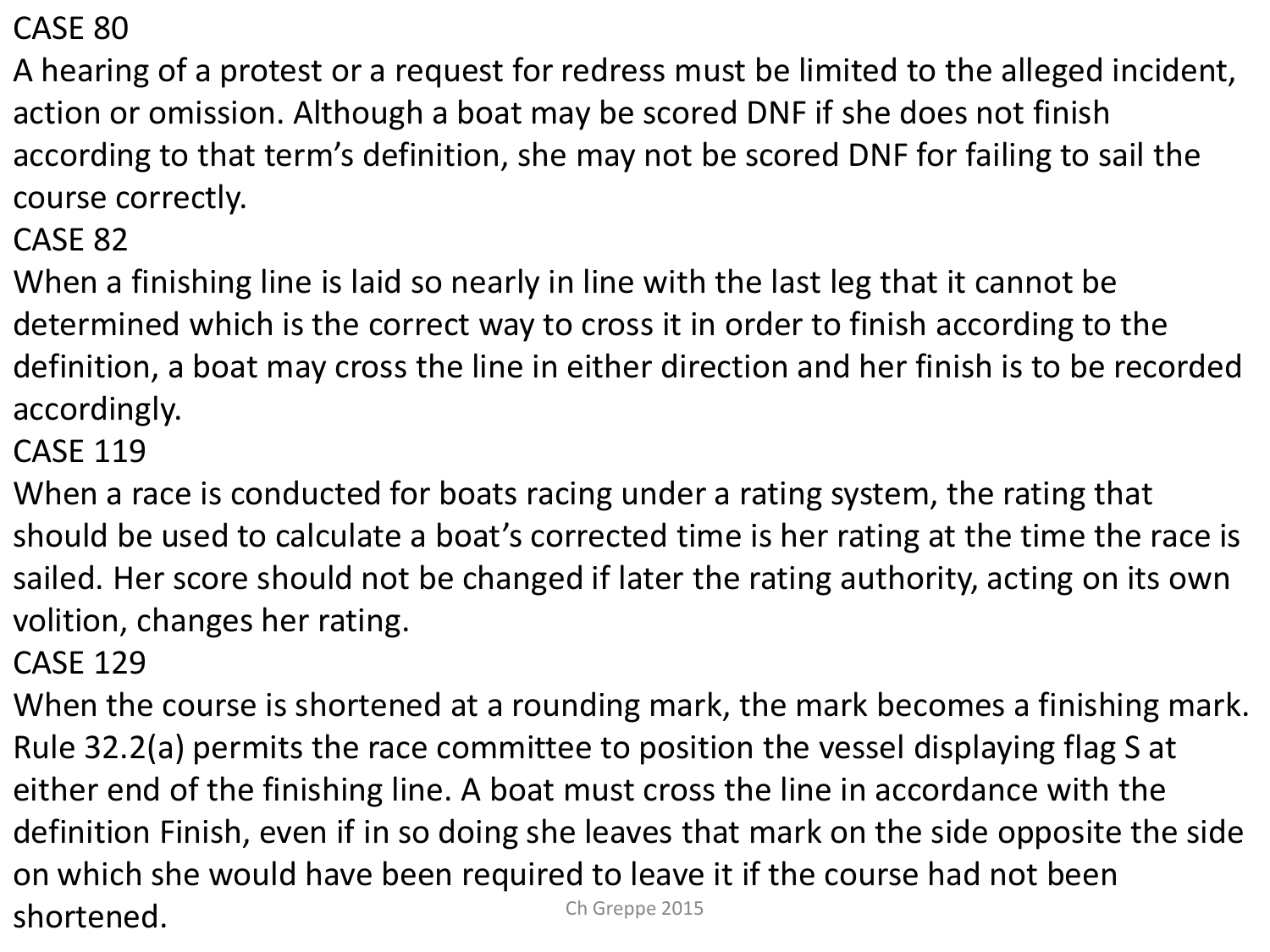CASE 80

A hearing of a protest or a request for redress must be limited to the alleged incident, action or omission. Although a boat may be scored DNF if she does not finish according to that term's definition, she may not be scored DNF for failing to sail the course correctly.

CASE 82

When a finishing line is laid so nearly in line with the last leg that it cannot be determined which is the correct way to cross it in order to finish according to the definition, a boat may cross the line in either direction and her finish is to be recorded accordingly.

CASE 119

When a race is conducted for boats racing under a rating system, the rating that should be used to calculate a boat's corrected time is her rating at the time the race is sailed. Her score should not be changed if later the rating authority, acting on its own volition, changes her rating.

CASE 129

When the course is shortened at a rounding mark, the mark becomes a finishing mark. Rule 32.2(a) permits the race committee to position the vessel displaying flag S at either end of the finishing line. A boat must cross the line in accordance with the definition Finish, even if in so doing she leaves that mark on the side opposite the side on which she would have been required to leave it if the course had not been shortened. Ch Greppe 2015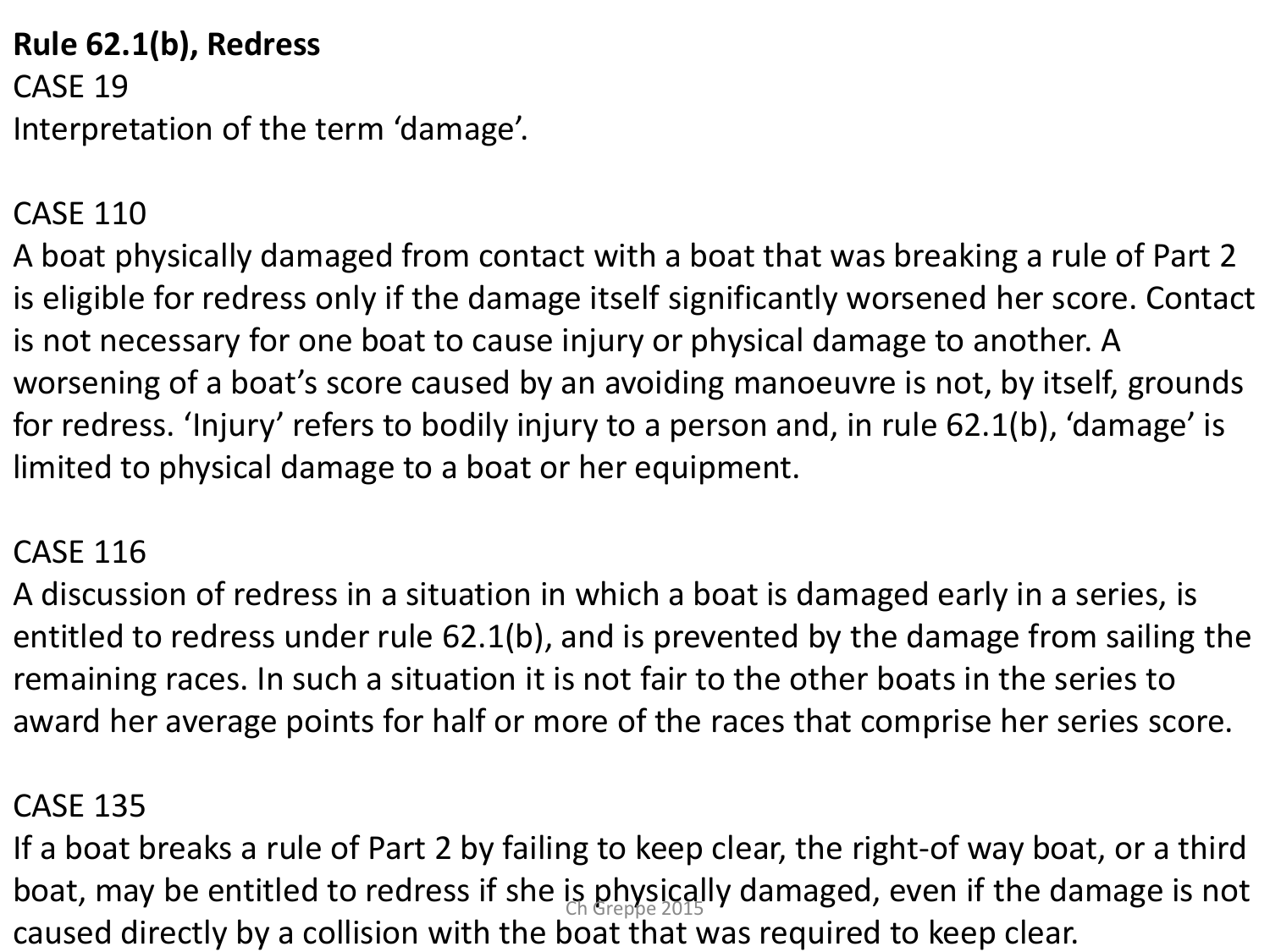**Rule 62.1(b), Redress** CASE 19 Interpretation of the term 'damage'.

#### CASE 110

A boat physically damaged from contact with a boat that was breaking a rule of Part 2 is eligible for redress only if the damage itself significantly worsened her score. Contact is not necessary for one boat to cause injury or physical damage to another. A worsening of a boat's score caused by an avoiding manoeuvre is not, by itself, grounds for redress. 'Injury' refers to bodily injury to a person and, in rule 62.1(b), 'damage' is limited to physical damage to a boat or her equipment.

#### CASE 116

A discussion of redress in a situation in which a boat is damaged early in a series, is entitled to redress under rule 62.1(b), and is prevented by the damage from sailing the remaining races. In such a situation it is not fair to the other boats in the series to award her average points for half or more of the races that comprise her series score.

#### CASE 135

If a boat breaks a rule of Part 2 by failing to keep clear, the right-of way boat, or a third boat, may be entitled to redress if she is physically damaged, even if the damage is not caused directly by a collision with the boat that was required to keep clear.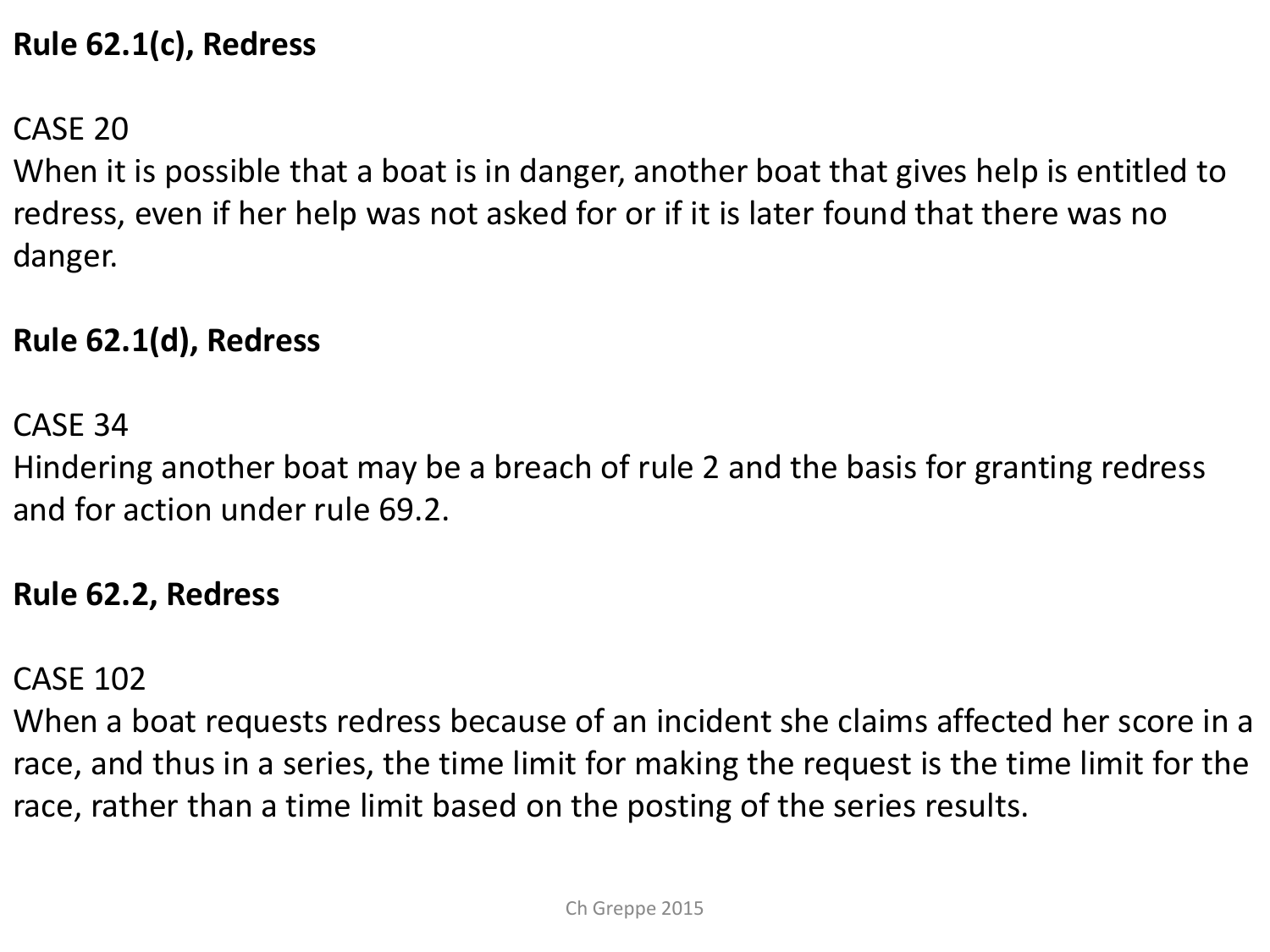#### **Rule 62.1(c), Redress**

CASE 20

When it is possible that a boat is in danger, another boat that gives help is entitled to redress, even if her help was not asked for or if it is later found that there was no danger.

#### **Rule 62.1(d), Redress**

CASE 34

Hindering another boat may be a breach of rule 2 and the basis for granting redress and for action under rule 69.2.

#### **Rule 62.2, Redress**

CASE 102

When a boat requests redress because of an incident she claims affected her score in a race, and thus in a series, the time limit for making the request is the time limit for the race, rather than a time limit based on the posting of the series results.